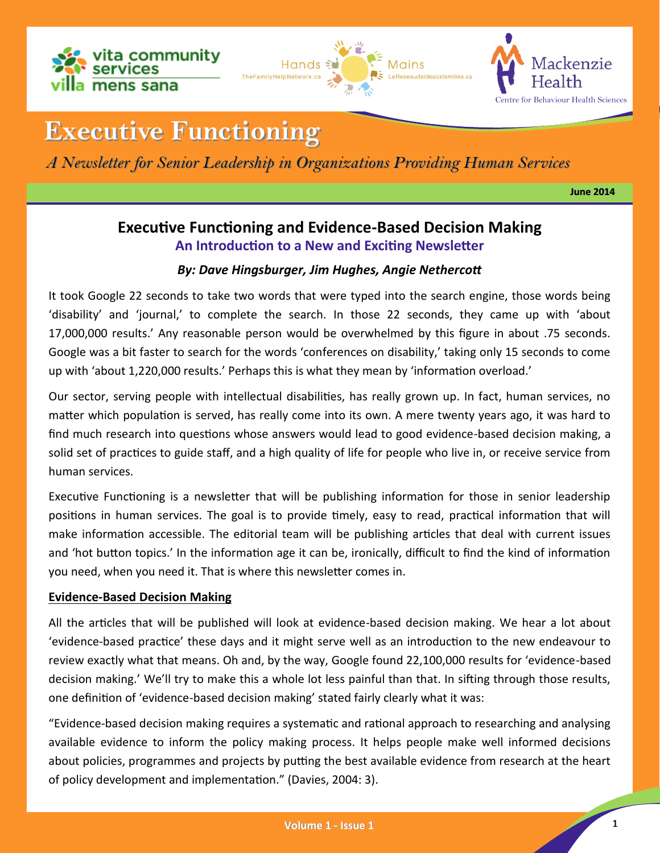





# **Executive Functioning**

*A Newsletter for Senior Leadership in Organizations Providing Human Services*

**June 2014**

## **Executive Functioning and Evidence-Based Decision Making An Introduction to a New and Exciting Newsletter**

### *By: Dave Hingsburger, Jim Hughes, Angie Nethercott*

It took Google 22 seconds to take two words that were typed into the search engine, those words being 'disability' and 'journal,' to complete the search. In those 22 seconds, they came up with 'about 17,000,000 results.' Any reasonable person would be overwhelmed by this figure in about .75 seconds. Google was a bit faster to search for the words 'conferences on disability,' taking only 15 seconds to come up with 'about 1,220,000 results.' Perhaps this is what they mean by 'information overload.'

Our sector, serving people with intellectual disabilities, has really grown up. In fact, human services, no matter which population is served, has really come into its own. A mere twenty years ago, it was hard to find much research into questions whose answers would lead to good evidence-based decision making, a solid set of practices to guide staff, and a high quality of life for people who live in, or receive service from human services.

Executive Functioning is a newsletter that will be publishing information for those in senior leadership positions in human services. The goal is to provide timely, easy to read, practical information that will make information accessible. The editorial team will be publishing articles that deal with current issues and 'hot button topics.' In the information age it can be, ironically, difficult to find the kind of information you need, when you need it. That is where this newsletter comes in.

#### **Evidence-Based Decision Making**

All the articles that will be published will look at evidence-based decision making. We hear a lot about 'evidence-based practice' these days and it might serve well as an introduction to the new endeavour to review exactly what that means. Oh and, by the way, Google found 22,100,000 results for 'evidence-based decision making.' We'll try to make this a whole lot less painful than that. In sifting through those results, one definition of 'evidence-based decision making' stated fairly clearly what it was:

"Evidence-based decision making requires a systematic and rational approach to researching and analysing available evidence to inform the policy making process. It helps people make well informed decisions about policies, programmes and projects by putting the best available evidence from research at the heart of policy development and implementation." (Davies, 2004: 3).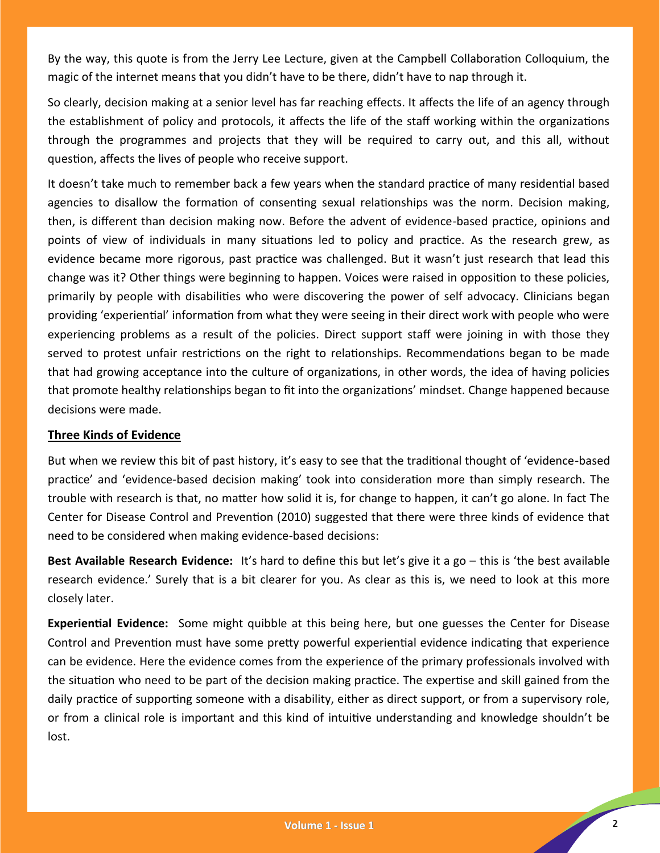By the way, this quote is from the Jerry Lee Lecture, given at the Campbell Collaboration Colloquium, the magic of the internet means that you didn't have to be there, didn't have to nap through it.

So clearly, decision making at a senior level has far reaching effects. It affects the life of an agency through the establishment of policy and protocols, it affects the life of the staff working within the organizations through the programmes and projects that they will be required to carry out, and this all, without question, affects the lives of people who receive support.

It doesn't take much to remember back a few years when the standard practice of many residential based agencies to disallow the formation of consenting sexual relationships was the norm. Decision making, then, is different than decision making now. Before the advent of evidence-based practice, opinions and points of view of individuals in many situations led to policy and practice. As the research grew, as evidence became more rigorous, past practice was challenged. But it wasn't just research that lead this change was it? Other things were beginning to happen. Voices were raised in opposition to these policies, primarily by people with disabilities who were discovering the power of self advocacy. Clinicians began providing 'experiential' information from what they were seeing in their direct work with people who were experiencing problems as a result of the policies. Direct support staff were joining in with those they served to protest unfair restrictions on the right to relationships. Recommendations began to be made that had growing acceptance into the culture of organizations, in other words, the idea of having policies that promote healthy relationships began to fit into the organizations' mindset. Change happened because decisions were made.

#### **Three Kinds of Evidence**

But when we review this bit of past history, it's easy to see that the traditional thought of 'evidence-based practice' and 'evidence-based decision making' took into consideration more than simply research. The trouble with research is that, no matter how solid it is, for change to happen, it can't go alone. In fact The Center for Disease Control and Prevention (2010) suggested that there were three kinds of evidence that need to be considered when making evidence-based decisions:

**Best Available Research Evidence:** It's hard to define this but let's give it a go – this is 'the best available research evidence.' Surely that is a bit clearer for you. As clear as this is, we need to look at this more closely later.

**Experiential Evidence:** Some might quibble at this being here, but one guesses the Center for Disease Control and Prevention must have some pretty powerful experiential evidence indicating that experience can be evidence. Here the evidence comes from the experience of the primary professionals involved with the situation who need to be part of the decision making practice. The expertise and skill gained from the daily practice of supporting someone with a disability, either as direct support, or from a supervisory role, or from a clinical role is important and this kind of intuitive understanding and knowledge shouldn't be lost.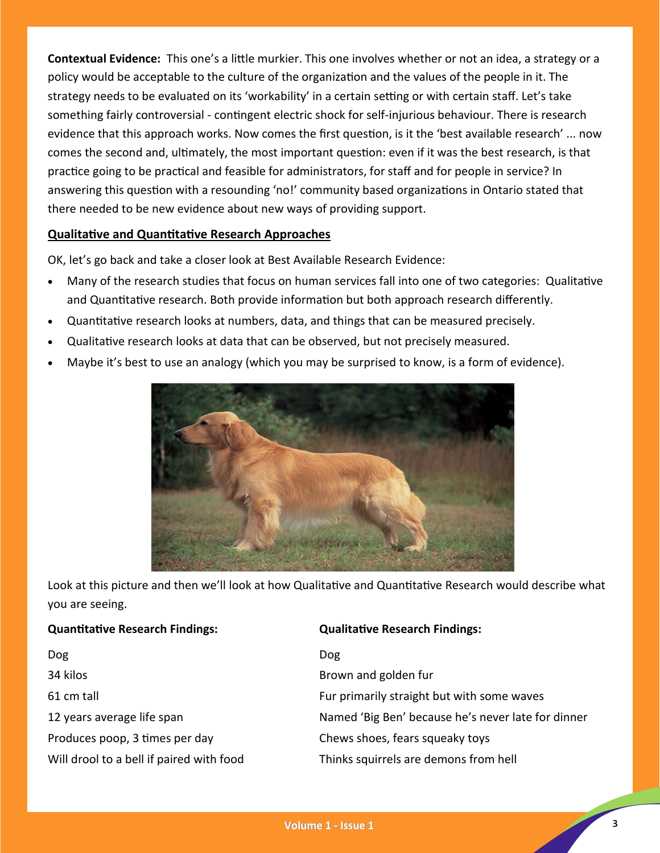**Contextual Evidence:** This one's a little murkier. This one involves whether or not an idea, a strategy or a policy would be acceptable to the culture of the organization and the values of the people in it. The strategy needs to be evaluated on its 'workability' in a certain setting or with certain staff. Let's take something fairly controversial - contingent electric shock for self-injurious behaviour. There is research evidence that this approach works. Now comes the first question, is it the 'best available research' ... now comes the second and, ultimately, the most important question: even if it was the best research, is that practice going to be practical and feasible for administrators, for staff and for people in service? In answering this question with a resounding 'no!' community based organizations in Ontario stated that there needed to be new evidence about new ways of providing support.

#### **Qualitative and Quantitative Research Approaches**

OK, let's go back and take a closer look at Best Available Research Evidence:

- Many of the research studies that focus on human services fall into one of two categories: Qualitative and Quantitative research. Both provide information but both approach research differently.
- Quantitative research looks at numbers, data, and things that can be measured precisely.
- Qualitative research looks at data that can be observed, but not precisely measured.
- Maybe it's best to use an analogy (which you may be surprised to know, is a form of evidence).



Look at this picture and then we'll look at how Qualitative and Quantitative Research would describe what you are seeing.

| <b>Quantitative Research Findings:</b>   | <b>Qualitative Research Findings:</b>              |
|------------------------------------------|----------------------------------------------------|
| <b>Dog</b>                               | <b>Dog</b>                                         |
| 34 kilos                                 | Brown and golden fur                               |
| 61 cm tall                               | Fur primarily straight but with some waves         |
| 12 years average life span               | Named 'Big Ben' because he's never late for dinner |
| Produces poop, 3 times per day           | Chews shoes, fears squeaky toys                    |
| Will drool to a bell if paired with food | Thinks squirrels are demons from hell              |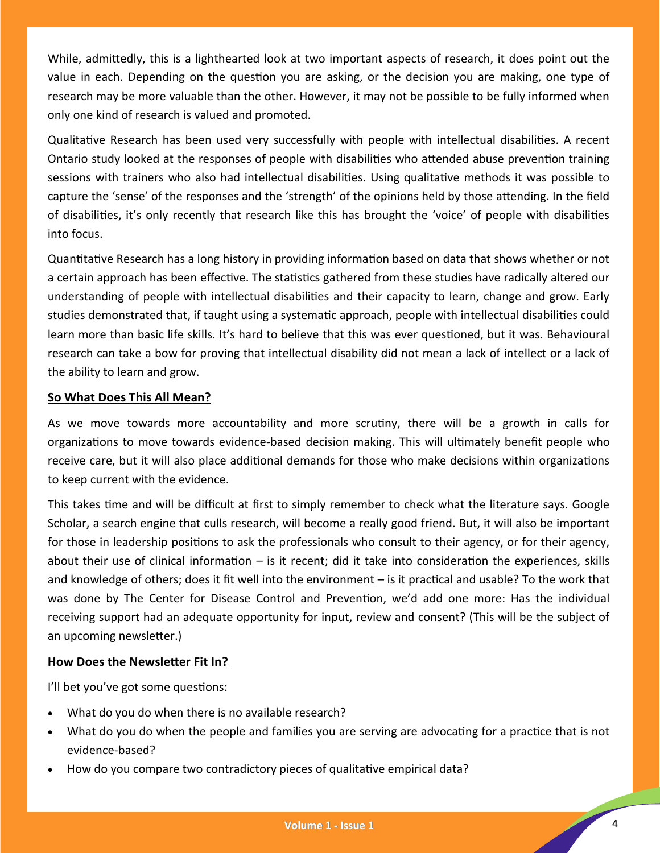While, admittedly, this is a lighthearted look at two important aspects of research, it does point out the value in each. Depending on the question you are asking, or the decision you are making, one type of research may be more valuable than the other. However, it may not be possible to be fully informed when only one kind of research is valued and promoted.

Qualitative Research has been used very successfully with people with intellectual disabilities. A recent Ontario study looked at the responses of people with disabilities who attended abuse prevention training sessions with trainers who also had intellectual disabilities. Using qualitative methods it was possible to capture the 'sense' of the responses and the 'strength' of the opinions held by those attending. In the field of disabilities, it's only recently that research like this has brought the 'voice' of people with disabilities into focus.

Quantitative Research has a long history in providing information based on data that shows whether or not a certain approach has been effective. The statistics gathered from these studies have radically altered our understanding of people with intellectual disabilities and their capacity to learn, change and grow. Early studies demonstrated that, if taught using a systematic approach, people with intellectual disabilities could learn more than basic life skills. It's hard to believe that this was ever questioned, but it was. Behavioural research can take a bow for proving that intellectual disability did not mean a lack of intellect or a lack of the ability to learn and grow.

#### **So What Does This All Mean?**

As we move towards more accountability and more scrutiny, there will be a growth in calls for organizations to move towards evidence-based decision making. This will ultimately benefit people who receive care, but it will also place additional demands for those who make decisions within organizations to keep current with the evidence.

This takes time and will be difficult at first to simply remember to check what the literature says. Google Scholar, a search engine that culls research, will become a really good friend. But, it will also be important for those in leadership positions to ask the professionals who consult to their agency, or for their agency, about their use of clinical information – is it recent; did it take into consideration the experiences, skills and knowledge of others; does it fit well into the environment – is it practical and usable? To the work that was done by The Center for Disease Control and Prevention, we'd add one more: Has the individual receiving support had an adequate opportunity for input, review and consent? (This will be the subject of an upcoming newsletter.)

#### **How Does the Newsletter Fit In?**

I'll bet you've got some questions:

- What do you do when there is no available research?
- What do you do when the people and families you are serving are advocating for a practice that is not evidence-based?
- How do you compare two contradictory pieces of qualitative empirical data?